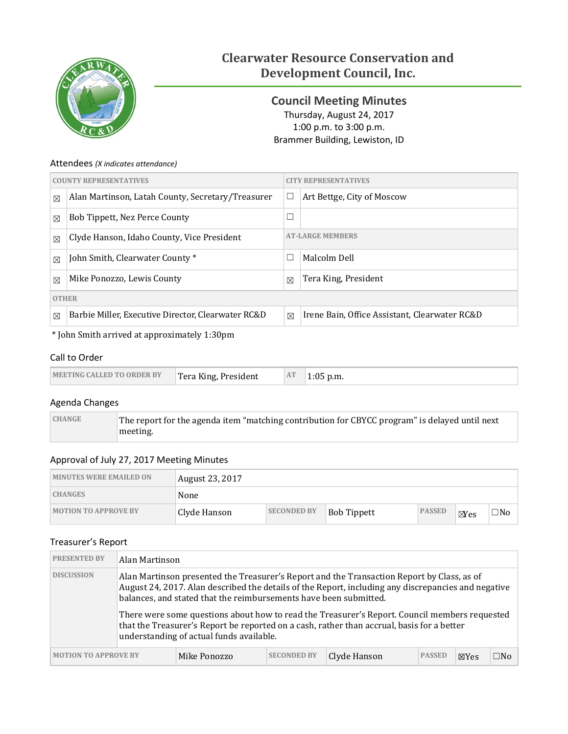

# **Clearwater Resource Conservation and Development Council, Inc.**

<span id="page-0-0"></span>**Council Meeting Minutes** Thursday, August 24, 2017 1:00 p.m. to 3:00 p.m. Brammer Building, Lewiston, ID

### Attendees *(X indicates attendance)*

| <b>COUNTY REPRESENTATIVES</b>                             |                                                    | <b>CITY REPRESENTATIVES</b>          |                                               |  |  |  |
|-----------------------------------------------------------|----------------------------------------------------|--------------------------------------|-----------------------------------------------|--|--|--|
| $\boxtimes$                                               | Alan Martinson, Latah County, Secretary/Treasurer  | $\Box$<br>Art Bettge, City of Moscow |                                               |  |  |  |
| $\boxtimes$                                               | Bob Tippett, Nez Perce County                      | $\Box$                               |                                               |  |  |  |
| Clyde Hanson, Idaho County, Vice President<br>$\boxtimes$ |                                                    | <b>AT-LARGE MEMBERS</b>              |                                               |  |  |  |
| $\boxtimes$                                               | John Smith, Clearwater County*                     | Г                                    | Malcolm Dell                                  |  |  |  |
| $\boxtimes$                                               | Mike Ponozzo, Lewis County                         | $\boxtimes$                          | Tera King, President                          |  |  |  |
|                                                           | <b>OTHER</b>                                       |                                      |                                               |  |  |  |
| $\boxtimes$                                               | Barbie Miller, Executive Director, Clearwater RC&D | $\boxtimes$                          | Irene Bain, Office Assistant, Clearwater RC&D |  |  |  |

\* John Smith arrived at approximately 1:30pm

### Call to Order

| <b>MEETING CALLED TO ORDER BY</b> | Tera King, President | AT | $\infty$ p.m.<br>בט:1 |
|-----------------------------------|----------------------|----|-----------------------|
|-----------------------------------|----------------------|----|-----------------------|

## Agenda Changes

| <b>CHANGE</b> | The report for the agenda item "matching contribution for CBYCC program" is delayed until next |
|---------------|------------------------------------------------------------------------------------------------|
|               | meeting.                                                                                       |

## Approval of July 27, 2017 Meeting Minutes

| <b>MINUTES WERE EMAILED ON</b> | August 23, 2017 |                    |                    |               |                |              |
|--------------------------------|-----------------|--------------------|--------------------|---------------|----------------|--------------|
| <b>CHANGES</b>                 | None            |                    |                    |               |                |              |
| <b>MOTION TO APPROVE BY</b>    | Clyde Hanson    | <b>SECONDED BY</b> | <b>Bob Tippett</b> | <b>PASSED</b> | $\boxtimes$ es | $\square$ No |

### Treasurer's Report

| <b>PRESENTED BY</b>         | Alan Martinson |                                                                                                               |                    |                                                                                                                                                                                                                                                                                                                                                                                                  |               |                 |              |
|-----------------------------|----------------|---------------------------------------------------------------------------------------------------------------|--------------------|--------------------------------------------------------------------------------------------------------------------------------------------------------------------------------------------------------------------------------------------------------------------------------------------------------------------------------------------------------------------------------------------------|---------------|-----------------|--------------|
| <b>DISCUSSION</b>           |                | balances, and stated that the reimbursements have been submitted.<br>understanding of actual funds available. |                    | Alan Martinson presented the Treasurer's Report and the Transaction Report by Class, as of<br>August 24, 2017. Alan described the details of the Report, including any discrepancies and negative<br>There were some questions about how to read the Treasurer's Report. Council members requested<br>that the Treasurer's Report be reported on a cash, rather than accrual, basis for a better |               |                 |              |
| <b>MOTION TO APPROVE BY</b> |                | Mike Ponozzo                                                                                                  | <b>SECONDED BY</b> | Clyde Hanson                                                                                                                                                                                                                                                                                                                                                                                     | <b>PASSED</b> | $\boxtimes$ Yes | $\square$ No |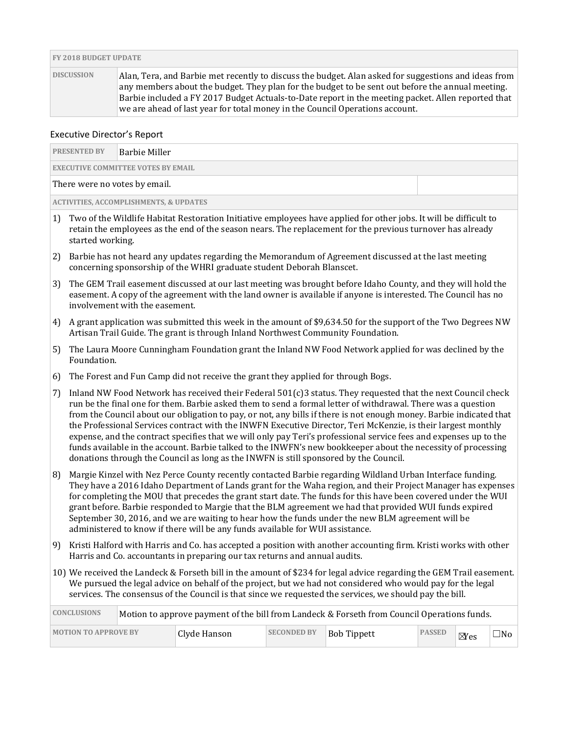|                   | <b>FY 2018 BUDGET UPDATE</b>                                                                                                                                                                                                                                                                                                                                                                   |  |  |  |  |
|-------------------|------------------------------------------------------------------------------------------------------------------------------------------------------------------------------------------------------------------------------------------------------------------------------------------------------------------------------------------------------------------------------------------------|--|--|--|--|
| <b>DISCUSSION</b> | Alan, Tera, and Barbie met recently to discuss the budget. Alan asked for suggestions and ideas from<br>any members about the budget. They plan for the budget to be sent out before the annual meeting.<br>Barbie included a FY 2017 Budget Actuals-to-Date report in the meeting packet. Allen reported that<br>we are ahead of last year for total money in the Council Operations account. |  |  |  |  |

#### Executive Director's Report

| <b>PRESENTED BY</b>                               | Barbie Miller |  |  |  |  |
|---------------------------------------------------|---------------|--|--|--|--|
| <b>EXECUTIVE COMMITTEE VOTES BY EMAIL</b>         |               |  |  |  |  |
| There were no votes by email.                     |               |  |  |  |  |
| <b>ACTIVITIES, ACCOMPLISHMENTS, &amp; UPDATES</b> |               |  |  |  |  |

- 1) Two of the Wildlife Habitat Restoration Initiative employees have applied for other jobs. It will be difficult to retain the employees as the end of the season nears. The replacement for the previous turnover has already started working.
- 2) Barbie has not heard any updates regarding the Memorandum of Agreement discussed at the last meeting concerning sponsorship of the WHRI graduate student Deborah Blanscet.
- 3) The GEM Trail easement discussed at our last meeting was brought before Idaho County, and they will hold the easement. A copy of the agreement with the land owner is available if anyone is interested. The Council has no involvement with the easement.
- 4) A grant application was submitted this week in the amount of \$9,634.50 for the support of the Two Degrees NW Artisan Trail Guide. The grant is through Inland Northwest Community Foundation.
- 5) The Laura Moore Cunningham Foundation grant the Inland NW Food Network applied for was declined by the Foundation.
- 6) The Forest and Fun Camp did not receive the grant they applied for through Bogs.
- 7) Inland NW Food Network has received their Federal 501(c)3 status. They requested that the next Council check run be the final one for them. Barbie asked them to send a formal letter of withdrawal. There was a question from the Council about our obligation to pay, or not, any bills if there is not enough money. Barbie indicated that the Professional Services contract with the INWFN Executive Director, Teri McKenzie, is their largest monthly expense, and the contract specifies that we will only pay Teri's professional service fees and expenses up to the funds available in the account. Barbie talked to the INWFN's new bookkeeper about the necessity of processing donations through the Council as long as the INWFN is still sponsored by the Council.
- 8) Margie Kinzel with Nez Perce County recently contacted Barbie regarding Wildland Urban Interface funding. They have a 2016 Idaho Department of Lands grant for the Waha region, and their Project Manager has expenses for completing the MOU that precedes the grant start date. The funds for this have been covered under the WUI grant before. Barbie responded to Margie that the BLM agreement we had that provided WUI funds expired September 30, 2016, and we are waiting to hear how the funds under the new BLM agreement will be administered to know if there will be any funds available for WUI assistance.
- 9) Kristi Halford with Harris and Co. has accepted a position with another accounting firm. Kristi works with other Harris and Co. accountants in preparing our tax returns and annual audits.
- 10) We received the Landeck & Forseth bill in the amount of \$234 for legal advice regarding the GEM Trail easement. We pursued the legal advice on behalf of the project, but we had not considered who would pay for the legal services. The consensus of the Council is that since we requested the services, we should pay the bill.

| <b>CONCLUSIONS</b>          | Motion to approve payment of the bill from Landeck & Forseth from Council Operations funds. |              |                    |             |               |                        |              |
|-----------------------------|---------------------------------------------------------------------------------------------|--------------|--------------------|-------------|---------------|------------------------|--------------|
| <b>MOTION TO APPROVE BY</b> |                                                                                             | Clyde Hanson | <b>SECONDED BY</b> | Bob Tippett | <b>PASSED</b> | $\mathbb {Y}\text{es}$ | $\square$ No |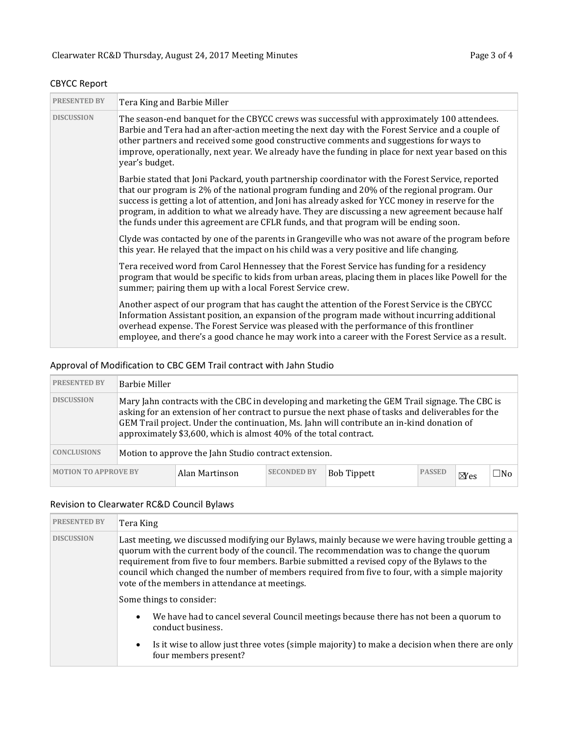| <b>PRESENTED BY</b> | Tera King and Barbie Miller                                                                                                                                                                                                                                                                                                                                                                                                                                                                     |
|---------------------|-------------------------------------------------------------------------------------------------------------------------------------------------------------------------------------------------------------------------------------------------------------------------------------------------------------------------------------------------------------------------------------------------------------------------------------------------------------------------------------------------|
| <b>DISCUSSION</b>   | The season-end banquet for the CBYCC crews was successful with approximately 100 attendees.<br>Barbie and Tera had an after-action meeting the next day with the Forest Service and a couple of<br>other partners and received some good constructive comments and suggestions for ways to<br>improve, operationally, next year. We already have the funding in place for next year based on this<br>year's budget.                                                                             |
|                     | Barbie stated that Joni Packard, youth partnership coordinator with the Forest Service, reported<br>that our program is 2% of the national program funding and 20% of the regional program. Our<br>success is getting a lot of attention, and Joni has already asked for YCC money in reserve for the<br>program, in addition to what we already have. They are discussing a new agreement because half<br>the funds under this agreement are CFLR funds, and that program will be ending soon. |
|                     | Clyde was contacted by one of the parents in Grangeville who was not aware of the program before<br>this year. He relayed that the impact on his child was a very positive and life changing.                                                                                                                                                                                                                                                                                                   |
|                     | Tera received word from Carol Hennessey that the Forest Service has funding for a residency<br>program that would be specific to kids from urban areas, placing them in places like Powell for the<br>summer; pairing them up with a local Forest Service crew.                                                                                                                                                                                                                                 |
|                     | Another aspect of our program that has caught the attention of the Forest Service is the CBYCC<br>Information Assistant position, an expansion of the program made without incurring additional<br>overhead expense. The Forest Service was pleased with the performance of this frontliner<br>employee, and there's a good chance he may work into a career with the Forest Service as a result.                                                                                               |

## CBYCC Report

## Approval of Modification to CBC GEM Trail contract with Jahn Studio

| <b>PRESENTED BY</b>         | <b>Barbie Miller</b>                                                                                                                                                                                                                                                                                                                                                    |                |                    |                    |               |                |              |  |
|-----------------------------|-------------------------------------------------------------------------------------------------------------------------------------------------------------------------------------------------------------------------------------------------------------------------------------------------------------------------------------------------------------------------|----------------|--------------------|--------------------|---------------|----------------|--------------|--|
| <b>DISCUSSION</b>           | Mary Jahn contracts with the CBC in developing and marketing the GEM Trail signage. The CBC is<br>asking for an extension of her contract to pursue the next phase of tasks and deliverables for the<br>GEM Trail project. Under the continuation, Ms. Jahn will contribute an in-kind donation of<br>approximately \$3,600, which is almost 40% of the total contract. |                |                    |                    |               |                |              |  |
| <b>CONCLUSIONS</b>          | Motion to approve the Jahn Studio contract extension.                                                                                                                                                                                                                                                                                                                   |                |                    |                    |               |                |              |  |
| <b>MOTION TO APPROVE BY</b> |                                                                                                                                                                                                                                                                                                                                                                         | Alan Martinson | <b>SECONDED BY</b> | <b>Bob Tippett</b> | <b>PASSED</b> | $\boxtimes$ es | $\square$ No |  |

## Revision to Clearwater RC&D Council Bylaws

| <b>PRESENTED BY</b> | Tera King                                                                                                                                                                                                                                                                                                                                                                                                                                       |
|---------------------|-------------------------------------------------------------------------------------------------------------------------------------------------------------------------------------------------------------------------------------------------------------------------------------------------------------------------------------------------------------------------------------------------------------------------------------------------|
| <b>DISCUSSION</b>   | Last meeting, we discussed modifying our Bylaws, mainly because we were having trouble getting a<br>quorum with the current body of the council. The recommendation was to change the quorum<br>requirement from five to four members. Barbie submitted a revised copy of the Bylaws to the<br>council which changed the number of members required from five to four, with a simple majority<br>vote of the members in attendance at meetings. |
|                     | Some things to consider:                                                                                                                                                                                                                                                                                                                                                                                                                        |
|                     | We have had to cancel several Council meetings because there has not been a quorum to<br>$\bullet$<br>conduct business.                                                                                                                                                                                                                                                                                                                         |
|                     | Is it wise to allow just three votes (simple majority) to make a decision when there are only<br>$\bullet$<br>four members present?                                                                                                                                                                                                                                                                                                             |